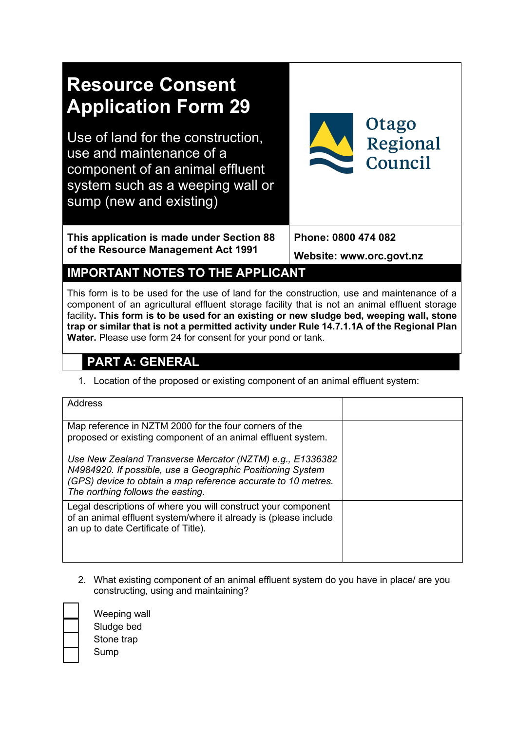

# **IMPORTANT NOTES TO THE APPLICANT**

This form is to be used for the use of land for the construction, use and maintenance of a component of an agricultural effluent storage facility that is not an animal effluent storage facility**. This form is to be used for an existing or new sludge bed, weeping wall, stone trap or similar that is not a permitted activity under Rule 14.7.1.1A of the Regional Plan Water.** Please use form 24 for consent for your pond or tank.

# **PART A: GENERAL**

1. Location of the proposed or existing component of an animal effluent system:

| Address                                                                                                                                                                                                                       |  |
|-------------------------------------------------------------------------------------------------------------------------------------------------------------------------------------------------------------------------------|--|
| Map reference in NZTM 2000 for the four corners of the<br>proposed or existing component of an animal effluent system.                                                                                                        |  |
| Use New Zealand Transverse Mercator (NZTM) e.g., E1336382<br>N4984920. If possible, use a Geographic Positioning System<br>(GPS) device to obtain a map reference accurate to 10 metres.<br>The northing follows the easting. |  |
| Legal descriptions of where you will construct your component<br>of an animal effluent system/where it already is (please include<br>an up to date Certificate of Title).                                                     |  |

2. What existing component of an animal effluent system do you have in place/ are you constructing, using and maintaining?

Weeping wall Sludge bed Stone trap **Sump**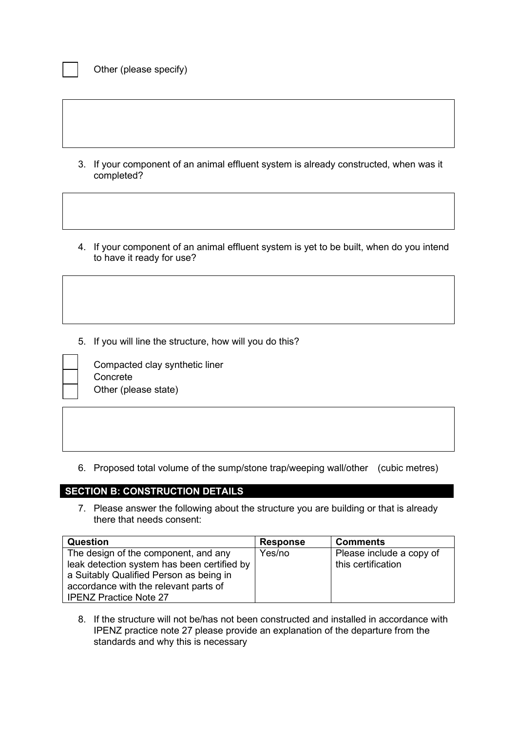- 3. If your component of an animal effluent system is already constructed, when was it completed?
- 4. If your component of an animal effluent system is yet to be built, when do you intend to have it ready for use?

5. If you will line the structure, how will you do this?



Compacted clay synthetic liner **Concrete** Other (please state)

6. Proposed total volume of the sump/stone trap/weeping wall/other (cubic metres)

# **SECTION B: CONSTRUCTION DETAILS**

7. Please answer the following about the structure you are building or that is already there that needs consent:

| Question                                    | <b>Response</b> | <b>Comments</b>          |
|---------------------------------------------|-----------------|--------------------------|
| The design of the component, and any        | Yes/no          | Please include a copy of |
| leak detection system has been certified by |                 | this certification       |
| a Suitably Qualified Person as being in     |                 |                          |
| accordance with the relevant parts of       |                 |                          |
| <b>IPENZ Practice Note 27</b>               |                 |                          |

8. If the structure will not be/has not been constructed and installed in accordance with IPENZ practice note 27 please provide an explanation of the departure from the standards and why this is necessary

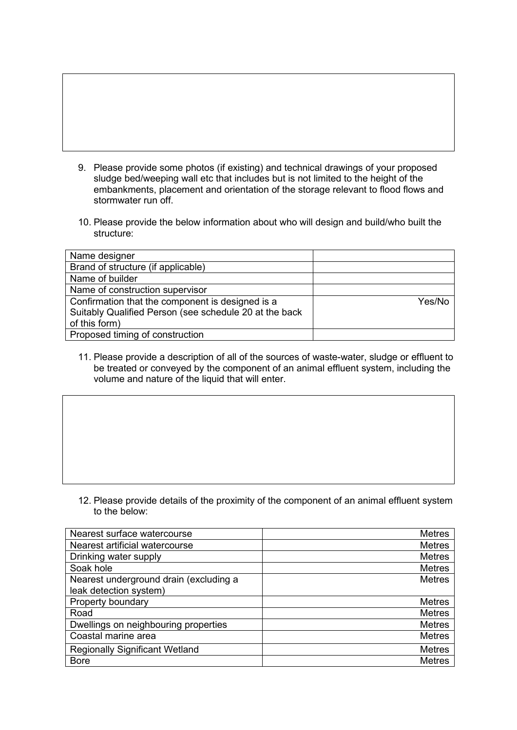- 9. Please provide some photos (if existing) and technical drawings of your proposed sludge bed/weeping wall etc that includes but is not limited to the height of the embankments, placement and orientation of the storage relevant to flood flows and stormwater run off.
- 10. Please provide the below information about who will design and build/who built the structure:

| Name designer                                          |        |
|--------------------------------------------------------|--------|
| Brand of structure (if applicable)                     |        |
| Name of builder                                        |        |
| Name of construction supervisor                        |        |
| Confirmation that the component is designed is a       | Yes/No |
| Suitably Qualified Person (see schedule 20 at the back |        |
| of this form)                                          |        |
| Proposed timing of construction                        |        |

11. Please provide a description of all of the sources of waste-water, sludge or effluent to be treated or conveyed by the component of an animal effluent system, including the volume and nature of the liquid that will enter.

12. Please provide details of the proximity of the component of an animal effluent system to the below:

| Nearest surface watercourse            | <b>Metres</b> |
|----------------------------------------|---------------|
| Nearest artificial watercourse         | <b>Metres</b> |
| Drinking water supply                  | <b>Metres</b> |
| Soak hole                              | <b>Metres</b> |
| Nearest underground drain (excluding a | <b>Metres</b> |
| leak detection system)                 |               |
| Property boundary                      | <b>Metres</b> |
| Road                                   | <b>Metres</b> |
| Dwellings on neighbouring properties   | <b>Metres</b> |
| Coastal marine area                    | <b>Metres</b> |
| <b>Regionally Significant Wetland</b>  | <b>Metres</b> |
| <b>Bore</b>                            | <b>Metres</b> |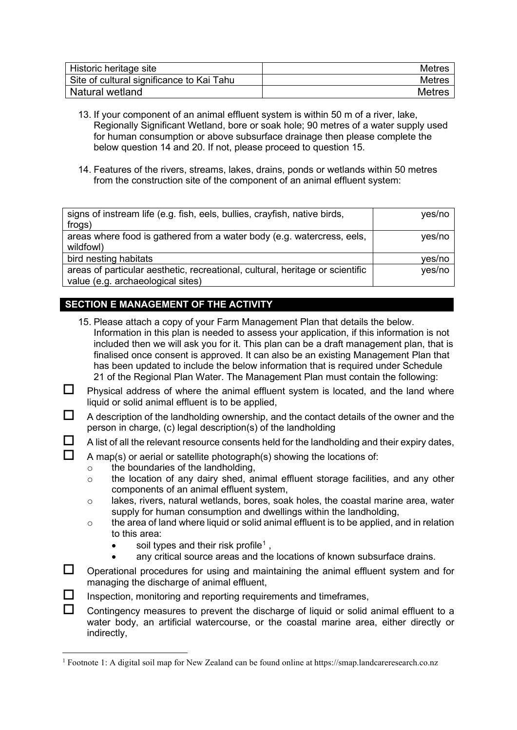| Historic heritage site                    | <b>Metres</b> |
|-------------------------------------------|---------------|
| Site of cultural significance to Kai Tahu | <b>Metres</b> |
| Natural wetland                           | <b>Metres</b> |

- 13. If your component of an animal effluent system is within 50 m of a river, lake, Regionally Significant Wetland, bore or soak hole; 90 metres of a water supply used for human consumption or above subsurface drainage then please complete the below question 14 and 20. If not, please proceed to question 15.
- 14. Features of the rivers, streams, lakes, drains, ponds or wetlands within 50 metres from the construction site of the component of an animal effluent system:

| signs of instream life (e.g. fish, eels, bullies, crayfish, native birds,     | yes/no |
|-------------------------------------------------------------------------------|--------|
| frogs)                                                                        |        |
| areas where food is gathered from a water body (e.g. watercress, eels,        | yes/no |
| wildfowl)                                                                     |        |
| bird nesting habitats                                                         | yes/no |
| areas of particular aesthetic, recreational, cultural, heritage or scientific | yes/no |
| value (e.g. archaeological sites)                                             |        |

# **SECTION E MANAGEMENT OF THE ACTIVITY**

- 15. Please attach a copy of your Farm Management Plan that details the below. Information in this plan is needed to assess your application, if this information is not included then we will ask you for it. This plan can be a draft management plan, that is finalised once consent is approved. It can also be an existing Management Plan that has been updated to include the below information that is required under Schedule 21 of the Regional Plan Water. The Management Plan must contain the following:
- $\Box$  Physical address of where the animal effluent system is located, and the land where liquid or solid animal effluent is to be applied,
- $\Box$  A description of the landholding ownership, and the contact details of the owner and the person in charge, (c) legal description(s) of the landholding
- $\Box$  A list of all the relevant resource consents held for the landholding and their expiry dates,

# $\Box$  A map(s) or aerial or satellite photograph(s) showing the locations of:

- o the boundaries of the landholding,
- o the location of any dairy shed, animal effluent storage facilities, and any other components of an animal effluent system,
- $\circ$  lakes, rivers, natural wetlands, bores, soak holes, the coastal marine area, water supply for human consumption and dwellings within the landholding,
- $\circ$  the area of land where liquid or solid animal effluent is to be applied, and in relation to this area:
	- soil types and their risk profile<sup>[1](#page-3-0)</sup>.
	- any critical source areas and the locations of known subsurface drains.
- $\Box$  Operational procedures for using and maintaining the animal effluent system and for managing the discharge of animal effluent,
- $\Box$  Inspection, monitoring and reporting requirements and timeframes,
- Contingency measures to prevent the discharge of liquid or solid animal effluent to a water body, an artificial watercourse, or the coastal marine area, either directly or indirectly,

<span id="page-3-0"></span><sup>1</sup> Footnote 1: A digital soil map for New Zealand can be found online at https://smap.landcareresearch.co.nz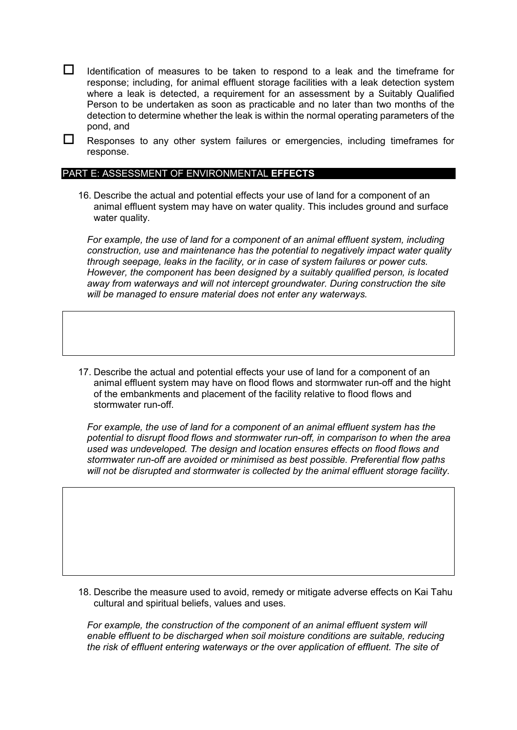$\Box$  Identification of measures to be taken to respond to a leak and the timeframe for response; including, for animal effluent storage facilities with a leak detection system where a leak is detected, a requirement for an assessment by a Suitably Qualified Person to be undertaken as soon as practicable and no later than two months of the detection to determine whether the leak is within the normal operating parameters of the pond, and

 $\Box$  Responses to any other system failures or emergencies, including timeframes for response.

#### PART E: ASSESSMENT OF ENVIRONMENTAL **EFFECTS**

16. Describe the actual and potential effects your use of land for a component of an animal effluent system may have on water quality. This includes ground and surface water quality.

*For example, the use of land for a component of an animal effluent system, including construction, use and maintenance has the potential to negatively impact water quality through seepage, leaks in the facility, or in case of system failures or power cuts. However, the component has been designed by a suitably qualified person, is located away from waterways and will not intercept groundwater. During construction the site will be managed to ensure material does not enter any waterways.* 

17. Describe the actual and potential effects your use of land for a component of an animal effluent system may have on flood flows and stormwater run-off and the hight of the embankments and placement of the facility relative to flood flows and stormwater run-off.

*For example, the use of land for a component of an animal effluent system has the potential to disrupt flood flows and stormwater run-off, in comparison to when the area used was undeveloped. The design and location ensures effects on flood flows and stormwater run-off are avoided or minimised as best possible. Preferential flow paths will not be disrupted and stormwater is collected by the animal effluent storage facility.*

18. Describe the measure used to avoid, remedy or mitigate adverse effects on Kai Tahu cultural and spiritual beliefs, values and uses.

*For example, the construction of the component of an animal effluent system will enable effluent to be discharged when soil moisture conditions are suitable, reducing the risk of effluent entering waterways or the over application of effluent. The site of*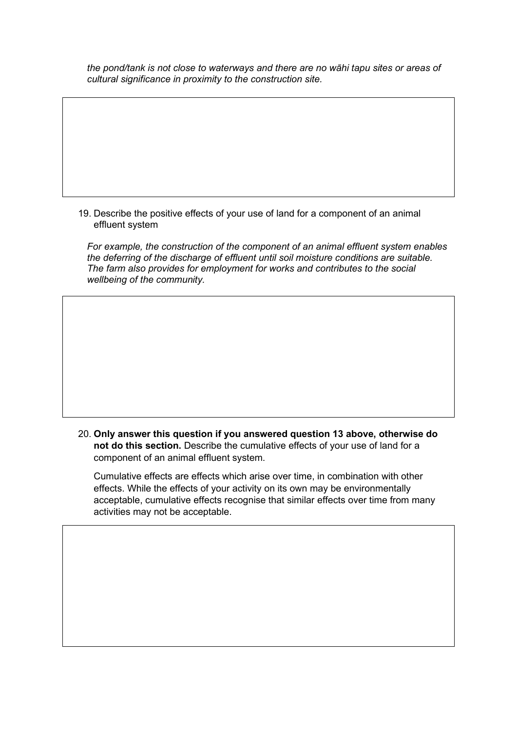*the pond/tank is not close to waterways and there are no wāhi tapu sites or areas of cultural significance in proximity to the construction site.* 

19. Describe the positive effects of your use of land for a component of an animal effluent system

*For example, the construction of the component of an animal effluent system enables the deferring of the discharge of effluent until soil moisture conditions are suitable. The farm also provides for employment for works and contributes to the social wellbeing of the community.*

20. **Only answer this question if you answered question 13 above, otherwise do not do this section.** Describe the cumulative effects of your use of land for a component of an animal effluent system.

Cumulative effects are effects which arise over time, in combination with other effects. While the effects of your activity on its own may be environmentally acceptable, cumulative effects recognise that similar effects over time from many activities may not be acceptable.